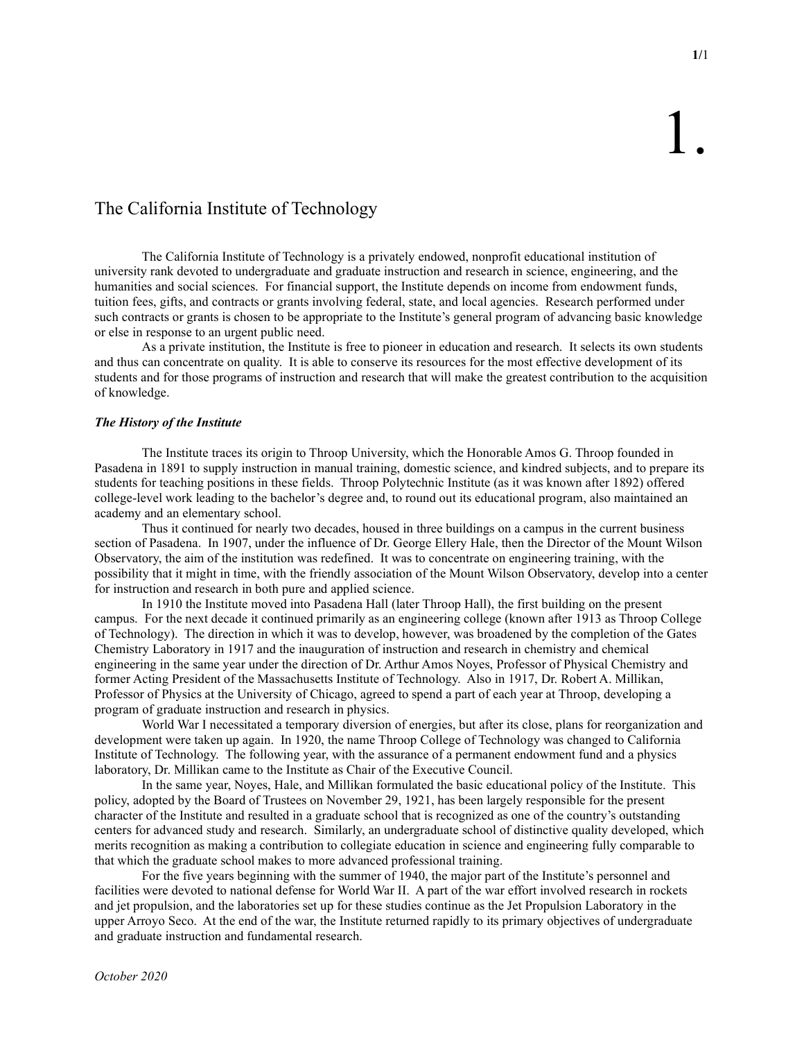1/1

# The California Institute of Technology

 The California Institute of Technology is a privately endowed, nonprofit educational institution of university rank devoted to undergraduate and graduate instruction and research in science, engineering, and the humanities and social sciences. For financial support, the Institute depends on income from endowment funds, tuition fees, gifts, and contracts or grants involving federal, state, and local agencies. Research performed under such contracts or grants is chosen to be appropriate to the Institute's general program of advancing basic knowledge or else in response to an urgent public need.

 As a private institution, the Institute is free to pioneer in education and research. It selects its own students and thus can concentrate on quality. It is able to conserve its resources for the most effective development of its students and for those programs of instruction and research that will make the greatest contribution to the acquisition of knowledge.

## The History of the Institute

 The Institute traces its origin to Throop University, which the Honorable Amos G. Throop founded in Pasadena in 1891 to supply instruction in manual training, domestic science, and kindred subjects, and to prepare its students for teaching positions in these fields. Throop Polytechnic Institute (as it was known after 1892) offered college-level work leading to the bachelor's degree and, to round out its educational program, also maintained an academy and an elementary school.

 Thus it continued for nearly two decades, housed in three buildings on a campus in the current business section of Pasadena. In 1907, under the influence of Dr. George Ellery Hale, then the Director of the Mount Wilson Observatory, the aim of the institution was redefined. It was to concentrate on engineering training, with the possibility that it might in time, with the friendly association of the Mount Wilson Observatory, develop into a center for instruction and research in both pure and applied science.

 In 1910 the Institute moved into Pasadena Hall (later Throop Hall), the first building on the present campus. For the next decade it continued primarily as an engineering college (known after 1913 as Throop College of Technology). The direction in which it was to develop, however, was broadened by the completion of the Gates Chemistry Laboratory in 1917 and the inauguration of instruction and research in chemistry and chemical engineering in the same year under the direction of Dr. Arthur Amos Noyes, Professor of Physical Chemistry and former Acting President of the Massachusetts Institute of Technology. Also in 1917, Dr. Robert A. Millikan, Professor of Physics at the University of Chicago, agreed to spend a part of each year at Throop, developing a program of graduate instruction and research in physics.

 World War I necessitated a temporary diversion of energies, but after its close, plans for reorganization and development were taken up again. In 1920, the name Throop College of Technology was changed to California Institute of Technology. The following year, with the assurance of a permanent endowment fund and a physics laboratory, Dr. Millikan came to the Institute as Chair of the Executive Council.

 In the same year, Noyes, Hale, and Millikan formulated the basic educational policy of the Institute. This policy, adopted by the Board of Trustees on November 29, 1921, has been largely responsible for the present character of the Institute and resulted in a graduate school that is recognized as one of the country's outstanding centers for advanced study and research. Similarly, an undergraduate school of distinctive quality developed, which merits recognition as making a contribution to collegiate education in science and engineering fully comparable to that which the graduate school makes to more advanced professional training.

 For the five years beginning with the summer of 1940, the major part of the Institute's personnel and facilities were devoted to national defense for World War II. A part of the war effort involved research in rockets and jet propulsion, and the laboratories set up for these studies continue as the Jet Propulsion Laboratory in the upper Arroyo Seco. At the end of the war, the Institute returned rapidly to its primary objectives of undergraduate and graduate instruction and fundamental research.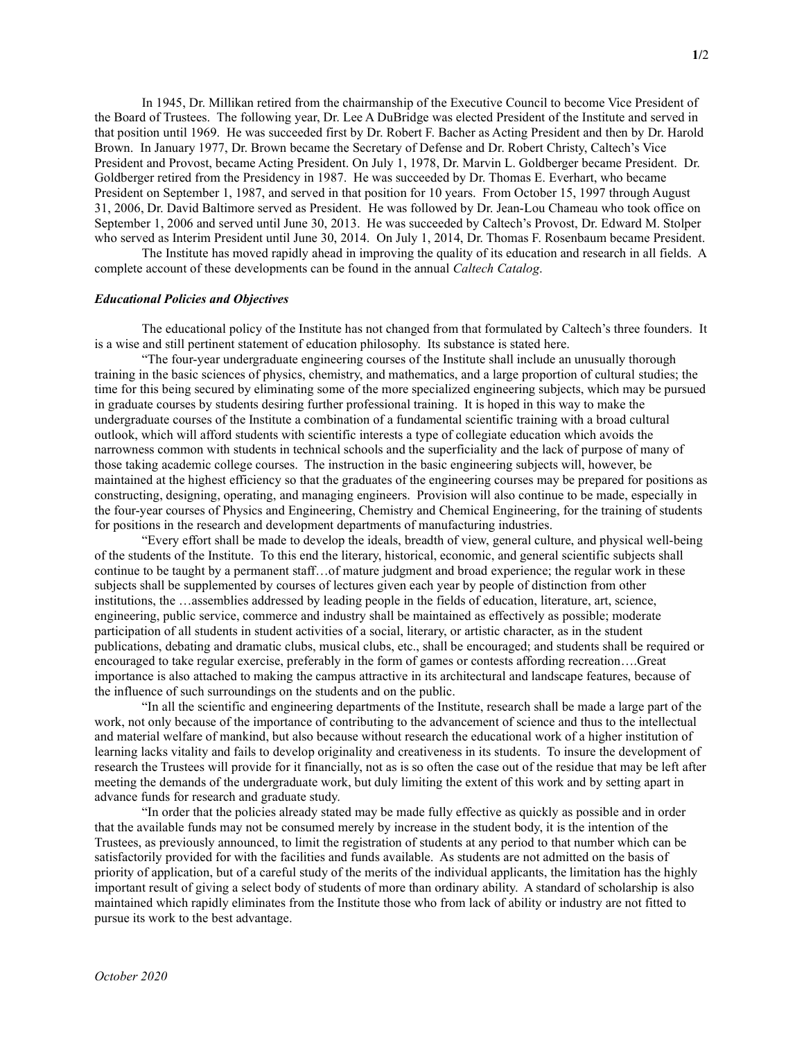In 1945, Dr. Millikan retired from the chairmanship of the Executive Council to become Vice President of the Board of Trustees. The following year, Dr. Lee A DuBridge was elected President of the Institute and served in that position until 1969. He was succeeded first by Dr. Robert F. Bacher as Acting President and then by Dr. Harold Brown. In January 1977, Dr. Brown became the Secretary of Defense and Dr. Robert Christy, Caltech's Vice President and Provost, became Acting President. On July 1, 1978, Dr. Marvin L. Goldberger became President. Dr. Goldberger retired from the Presidency in 1987. He was succeeded by Dr. Thomas E. Everhart, who became President on September 1, 1987, and served in that position for 10 years. From October 15, 1997 through August 31, 2006, Dr. David Baltimore served as President. He was followed by Dr. Jean-Lou Chameau who took office on September 1, 2006 and served until June 30, 2013. He was succeeded by Caltech's Provost, Dr. Edward M. Stolper who served as Interim President until June 30, 2014. On July 1, 2014, Dr. Thomas F. Rosenbaum became President.

 The Institute has moved rapidly ahead in improving the quality of its education and research in all fields. A complete account of these developments can be found in the annual Caltech Catalog.

#### Educational Policies and Objectives

 The educational policy of the Institute has not changed from that formulated by Caltech's three founders. It is a wise and still pertinent statement of education philosophy. Its substance is stated here.

 "The four-year undergraduate engineering courses of the Institute shall include an unusually thorough training in the basic sciences of physics, chemistry, and mathematics, and a large proportion of cultural studies; the time for this being secured by eliminating some of the more specialized engineering subjects, which may be pursued in graduate courses by students desiring further professional training. It is hoped in this way to make the undergraduate courses of the Institute a combination of a fundamental scientific training with a broad cultural outlook, which will afford students with scientific interests a type of collegiate education which avoids the narrowness common with students in technical schools and the superficiality and the lack of purpose of many of those taking academic college courses. The instruction in the basic engineering subjects will, however, be maintained at the highest efficiency so that the graduates of the engineering courses may be prepared for positions as constructing, designing, operating, and managing engineers. Provision will also continue to be made, especially in the four-year courses of Physics and Engineering, Chemistry and Chemical Engineering, for the training of students for positions in the research and development departments of manufacturing industries.

 "Every effort shall be made to develop the ideals, breadth of view, general culture, and physical well-being of the students of the Institute. To this end the literary, historical, economic, and general scientific subjects shall continue to be taught by a permanent staff…of mature judgment and broad experience; the regular work in these subjects shall be supplemented by courses of lectures given each year by people of distinction from other institutions, the …assemblies addressed by leading people in the fields of education, literature, art, science, engineering, public service, commerce and industry shall be maintained as effectively as possible; moderate participation of all students in student activities of a social, literary, or artistic character, as in the student publications, debating and dramatic clubs, musical clubs, etc., shall be encouraged; and students shall be required or encouraged to take regular exercise, preferably in the form of games or contests affording recreation….Great importance is also attached to making the campus attractive in its architectural and landscape features, because of the influence of such surroundings on the students and on the public.

 "In all the scientific and engineering departments of the Institute, research shall be made a large part of the work, not only because of the importance of contributing to the advancement of science and thus to the intellectual and material welfare of mankind, but also because without research the educational work of a higher institution of learning lacks vitality and fails to develop originality and creativeness in its students. To insure the development of research the Trustees will provide for it financially, not as is so often the case out of the residue that may be left after meeting the demands of the undergraduate work, but duly limiting the extent of this work and by setting apart in advance funds for research and graduate study.

 "In order that the policies already stated may be made fully effective as quickly as possible and in order that the available funds may not be consumed merely by increase in the student body, it is the intention of the Trustees, as previously announced, to limit the registration of students at any period to that number which can be satisfactorily provided for with the facilities and funds available. As students are not admitted on the basis of priority of application, but of a careful study of the merits of the individual applicants, the limitation has the highly important result of giving a select body of students of more than ordinary ability. A standard of scholarship is also maintained which rapidly eliminates from the Institute those who from lack of ability or industry are not fitted to pursue its work to the best advantage.